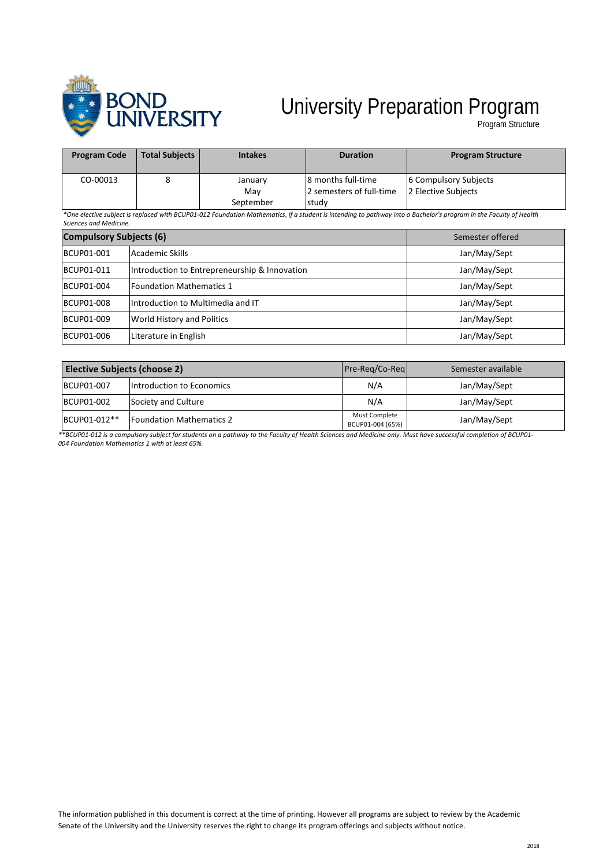

## University Preparation Program

Program Structure

| <b>Program Code</b> | <b>Total Subjects</b> | <b>Intakes</b> | <b>Duration</b>          | <b>Program Structure</b> |
|---------------------|-----------------------|----------------|--------------------------|--------------------------|
| CO-00013            |                       | January        | 8 months full-time       | 6 Compulsory Subjects    |
|                     |                       | Mav            | 2 semesters of full-time | 2 Elective Subiects      |
|                     |                       | September      | study                    |                          |

*\*One elective subject is replaced with BCUP01-012 Foundation Mathematics, if a student is intending to pathway into a Bachelor's program in the Faculty of Health Sciences and Medicine.*

| <b>Compulsory Subjects (6)</b> |                                               | Semester offered |
|--------------------------------|-----------------------------------------------|------------------|
| BCUP01-001                     | Academic Skills                               | Jan/May/Sept     |
| BCUP01-011                     | Introduction to Entrepreneurship & Innovation | Jan/May/Sept     |
| BCUP01-004                     | l Foundation Mathematics 1                    | Jan/May/Sept     |
| <b>BCUP01-008</b>              | Introduction to Multimedia and IT             | Jan/May/Sept     |
| BCUP01-009                     | World History and Politics                    | Jan/May/Sept     |
| BCUP01-006                     | Literature in English                         | Jan/May/Sept     |

| <b>Elective Subjects (choose 2)</b> |                                 | Pre-Reg/Co-Reg                    | Semester available |
|-------------------------------------|---------------------------------|-----------------------------------|--------------------|
| BCUP01-007                          | Introduction to Economics       | N/A                               | Jan/May/Sept       |
| BCUP01-002                          | Society and Culture             | N/A                               | Jan/May/Sept       |
| BCUP01-012**                        | <b>Foundation Mathematics 2</b> | Must Complete<br>BCUP01-004 (65%) | Jan/May/Sept       |

*\*\*BCUP01-012 is a compulsory subject for students on a pathway to the Faculty of Health Sciences and Medicine only. Must have successful completion of BCUP01- 004 Foundation Mathematics 1 with at least 65%.*